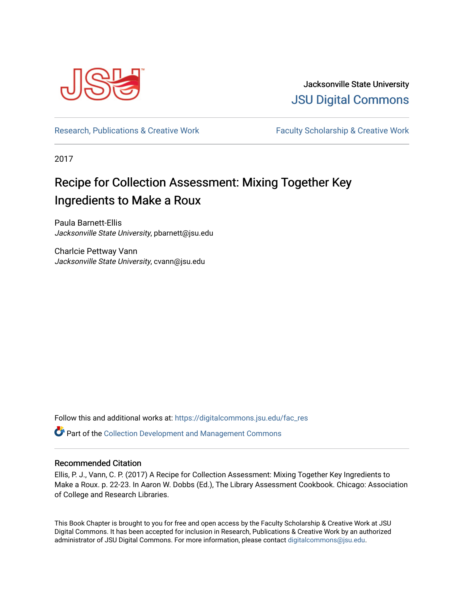

Jacksonville State University [JSU Digital Commons](https://digitalcommons.jsu.edu/) 

[Research, Publications & Creative Work](https://digitalcommons.jsu.edu/fac_res) Faculty Scholarship & Creative Work

2017

# Recipe for Collection Assessment: Mixing Together Key Ingredients to Make a Roux

Paula Barnett-Ellis Jacksonville State University, pbarnett@jsu.edu

Charlcie Pettway Vann Jacksonville State University, cvann@jsu.edu

Follow this and additional works at: [https://digitalcommons.jsu.edu/fac\\_res](https://digitalcommons.jsu.edu/fac_res?utm_source=digitalcommons.jsu.edu%2Ffac_res%2F6&utm_medium=PDF&utm_campaign=PDFCoverPages) 

Part of the [Collection Development and Management Commons](http://network.bepress.com/hgg/discipline/1271?utm_source=digitalcommons.jsu.edu%2Ffac_res%2F6&utm_medium=PDF&utm_campaign=PDFCoverPages) 

#### Recommended Citation

Ellis, P. J., Vann, C. P. (2017) A Recipe for Collection Assessment: Mixing Together Key Ingredients to Make a Roux. p. 22-23. In Aaron W. Dobbs (Ed.), The Library Assessment Cookbook. Chicago: Association of College and Research Libraries.

This Book Chapter is brought to you for free and open access by the Faculty Scholarship & Creative Work at JSU Digital Commons. It has been accepted for inclusion in Research, Publications & Creative Work by an authorized administrator of JSU Digital Commons. For more information, please contact [digitalcommons@jsu.edu.](mailto:digitalcommons@jsu.edu)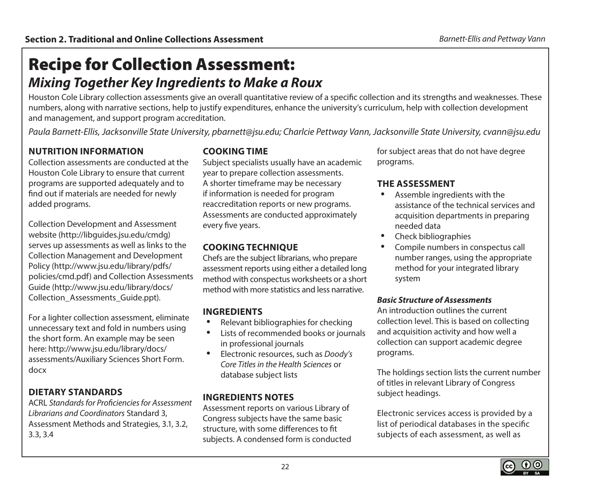# Recipe for Collection Assessment:

## *Mixing Together Key Ingredients to Make a Roux*

Houston Cole Library collection assessments give an overall quantitative review of a specific collection and its strengths and weaknesses. These numbers, along with narrative sections, help to justify expenditures, enhance the university's curriculum, help with collection development and management, and support program accreditation.

*Paula Barnett-Ellis, Jacksonville State University, [pbarnett@jsu.edu;](mailto:pbarnett@jsu.edu) Charlcie Pettway Vann, Jacksonville State University, [cvann@jsu.edu](mailto:cvann@jsu.edu)*

### **NUTRITION INFORMATION**

Collection assessments are conducted at the Houston Cole Library to ensure that current programs are supported adequately and to find out if materials are needed for newly added programs.

Collection Development and Assessment website (<http://libguides.jsu.edu/cmdg>) serves up assessments as well as links to the Collection Management and Development Policy [\(http://www.jsu.edu/library/pdfs/](http://www.jsu.edu/library/pdfs/policies/cmd.pdf) [policies/cmd.pdf\)](http://www.jsu.edu/library/pdfs/policies/cmd.pdf) and Collection Assessments Guide ([http://www.jsu.edu/library/docs/](http://www.jsu.edu/library/docs/Collection_Assessments_Guide.ppt) Collection Assessments Guide.ppt).

For a lighter collection assessment, eliminate unnecessary text and fold in numbers using the short form. An example may be seen here: [http://www.jsu.edu/library/docs/](http://www.jsu.edu/library/docs/assessments/Auxiliary Sciences Short Form.docx) [assessments/Auxiliary Sciences Short Form.](http://www.jsu.edu/library/docs/assessments/Auxiliary Sciences Short Form.docx) [docx](http://www.jsu.edu/library/docs/assessments/Auxiliary Sciences Short Form.docx)

#### **DIETARY STANDARDS**

ACRL *Standards for Proficiencies for Assessment Librarians and Coordinators* Standard 3, Assessment Methods and Strategies, 3.1, 3.2, 3.3, 3.4

#### **COOKING TIME**

Subject specialists usually have an academic year to prepare collection assessments. A shorter timeframe may be necessary if information is needed for program reaccreditation reports or new programs. Assessments are conducted approximately every five years.

#### **COOKING TECHNIQUE**

Chefs are the subject librarians, who prepare assessment reports using either a detailed long method with conspectus worksheets or a short method with more statistics and less narrative.

#### **INGREDIENTS**

- Relevant bibliographies for checking
- Lists of recommended books or journals in professional journals
- Electronic resources, such as *Doody's Core Titles in the Health Sciences* or database subject lists

### **INGREDIENTS NOTES**

Assessment reports on various Library of Congress subjects have the same basic structure, with some differences to fit subjects. A condensed form is conducted for subject areas that do not have degree programs.

#### **THE ASSESSMENT**

- Assemble ingredients with the assistance of the technical services and acquisition departments in preparing needed data
- Check bibliographies
- Compile numbers in conspectus call number ranges, using the appropriate method for your integrated library system

#### *Basic Structure of Assessments*

An introduction outlines the current collection level. This is based on collecting and acquisition activity and how well a collection can support academic degree programs.

The holdings section lists the current number of titles in relevant Library of Congress subject headings.

Electronic services access is provided by a list of periodical databases in the specific subjects of each assessment, as well as